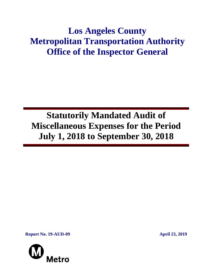# **Los Angeles County Metropolitan Transportation Authority Office of the Inspector General**

**Statutorily Mandated Audit of Miscellaneous Expenses for the Period July 1, 2018 to September 30, 2018**

**Report No. 19-AUD-09 April 23, 2019**

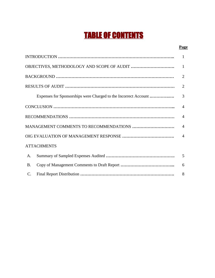# TABLE OF CONTENTS

#### **Page**

|                                                                 | 1              |
|-----------------------------------------------------------------|----------------|
|                                                                 | 1              |
|                                                                 | $\overline{2}$ |
|                                                                 | $\overline{2}$ |
| Expenses for Sponsorships were Charged to the Incorrect Account | 3              |
|                                                                 | 4              |
|                                                                 | $\overline{4}$ |
|                                                                 | $\overline{4}$ |
|                                                                 | $\overline{4}$ |
| <b>ATTACHMENTS</b>                                              |                |
| A.                                                              | 5              |
| <b>B.</b>                                                       | 6              |
| $\mathcal{C}$ .                                                 | 8              |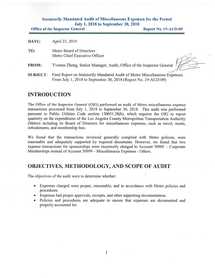#### Statutorily Mandated Audit of Miscellaneous Expenses for the Period July 1, 201\$ to September 30, 201\$

Office of the Inspector General **Report No. 19-AUD-09** 

| DATE:           | April 23, 2019                                                                                                                               |
|-----------------|----------------------------------------------------------------------------------------------------------------------------------------------|
| TO:             | Metro Board of Directors<br>Metro Chief Executive Officer                                                                                    |
| <b>FROM:</b>    | Yvonne Zheng, Senior Manager, Audit, Office of the Inspector General                                                                         |
| <b>SUBJECT:</b> | Final Report on Statutorily Mandated Audit of Metro Miscellaneous Expenses<br>From July 1, 2018 to September 30, 2018 (Report No. 19-AUD-09) |

#### INTRODUCTION

The Office of the Inspector General (OIG) performed an audit of Metro miscellaneous expense transactions processed from July 1, 2018 to September 30, 2018. This audit was performed pursuant to Public Utilities Code section 130051.28(b), which requires the OIG to report quarterly on the expenditures of the Los Angeles County Metropolitan Transportation Authority (Metro) including its Board of Directors for miscellaneous expenses, such as travel, meals, refreshments, and membership fees.

We found that the transactions reviewed generally complied with Metro policies, were reasonable and adequately supported by required documents. However, we found that two expense transactions for sponsorships were incorrectly charged to Account 50905 — Corporate Memberships instead of Account 50999 – Miscellaneous Expenses - Others.

#### OBJECTIVES, METHODOLOGY, AND SCOPE Of AUDIT

The objectives of the audit were to determine whether

- . Expenses charged were proper, reasonable, and in accordance with Metro policies and procedures.
- . Expenses had proper approvals, receipts, and other supporting documentation.
- Policies and procedures are adequate to ensure that expenses are documented and properly accounted for.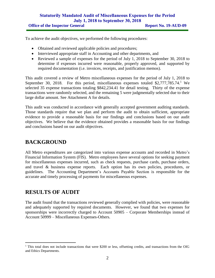#### **Statutorily Mandated Audit of Miscellaneous Expenses for the Period July 1, 2018 to September 30, 2018 Office of the Inspector General <b>Report No. 19-AUD-09**

To achieve the audit objectives, we performed the following procedures:

- Obtained and reviewed applicable policies and procedures;
- Interviewed appropriate staff in Accounting and other departments, and
- Reviewed a sample of expenses for the period of July 1, 2018 to September 30, 2018 to determine if expenses incurred were reasonable, properly approved, and supported by required documentation (i.e. invoices, receipts, and justification memos).

This audit covered a review of Metro miscellaneous expenses for the period of July 1, 2018 to September 30, 2018. For this period, miscellaneous expenses totaled \$2,777,785.74.<sup>1</sup> We selected 35 expense transactions totaling \$842,234.41 for detail testing. Thirty of the expense transactions were randomly selected, and the remaining 5 were judgmentally selected due to their large dollar amount. See Attachment A for details.

This audit was conducted in accordance with generally accepted government auditing standards. Those standards require that we plan and perform the audit to obtain sufficient, appropriate evidence to provide a reasonable basis for our findings and conclusions based on our audit objectives. We believe that the evidence obtained provides a reasonable basis for our findings and conclusions based on our audit objectives.

### **BACKGROUND**

All Metro expenditures are categorized into various expense accounts and recorded in Metro's Financial Information System (FIS). Metro employees have several options for seeking payment for miscellaneous expenses incurred, such as check requests, purchase cards, purchase orders, and travel & business expense reports. Each option has its own policies, procedures, or guidelines. The Accounting Department's Accounts Payable Section is responsible for the accurate and timely processing of payments for miscellaneous expenses.

## **RESULTS OF AUDIT**

The audit found that the transactions reviewed generally complied with policies, were reasonable and adequately supported by required documents. However, we found that two expenses for sponsorships were incorrectly charged to Account 50905 – Corporate Memberships instead of Account 50999 – Miscellaneous Expenses-Others.

<sup>&</sup>lt;sup>1</sup> This total does not include transactions that were \$200 or less, offsetting credits, and transactions from the OIG and Ethics Departments.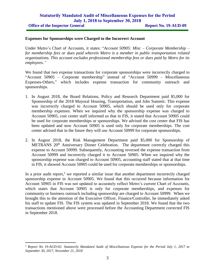#### **Statutorily Mandated Audit of Miscellaneous Expenses for the Period July 1, 2018 to September 30, 2018**

#### **Expenses for Sponsorships were Charged to the Incorrect Account**

Under Metro's Chart of Accounts, it states: "*Account 50905: Misc – Corporate Membership – for membership fees or dues paid wherein Metro is a member in public transportation related organizations. This account excludes professional membership fees or dues paid by Metro for its employees."*

We found that two expense transactions for corporate sponsorships were incorrectly charged to "Account 50905 – Corporate membership" instead of "Account 50999 – Miscellaneous Expenses-Others," which includes expense transaction for community outreach and sponsorships.

- 1. In August 2018, the Board Relations, Policy and Research Department paid \$5,000 for Sponsorship of the 2018 Mayoral Housing, Transportation, and Jobs Summit. This expense was incorrectly charged to Account 50905, which should be used only for corporate membership expenses. When we inquired why the sponsorship expense was charged to Account 50905, cost center staff informed us that in FIS, it stated that Account 50905 could be used for corporate memberships or sponsorships. We advised the cost center that FIS has been updated and now Account 50905 is used only for corporate memberships. The cost center advised that in the future they will use Account 50999 for corporate sponsorships.
- 2. In August 2018, the Risk Management Department paid \$5,000 for Sponsorship of METRANS 20<sup>th</sup> Anniversary Dinner Celebration. The department correctly charged this expense to Account 50999. Subsequently, Accounting reversed the expense transaction from Account 50999 and incorrectly charged it to Account 50905. When we inquired why the sponsorship expense was charged to Account 50905, accounting staff stated that at that time in FIS, it showed Account 50905 could be used for corporate memberships or sponsorships.

In a prior audit report,<sup>2</sup> we reported a similar issue that another department incorrectly charged sponsorship expense in Account 50905. We found that this occurred because information for Account 50905 in FIS was not updated to accurately reflect Metro's current Chart of Accounts, which states that Account 50905 is only for corporate memberships, and expenses for community or business outreach including sponsorship are charged to Account 50999. When we brought this to the attention of the Executive Officer, Finance/Controller, he immediately asked his staff to update FIS. The FIS system was updated in September 2018. We found that the two transactions mentioned above were processed before the Accounting Department corrected FIS in September 2018.

<sup>2</sup> *Report No 19-AUD-02: Statutorily Mandated Audit of Miscellaneous Expense for the Period July 1, 2017 to September 30, 2017, November 21, 2018*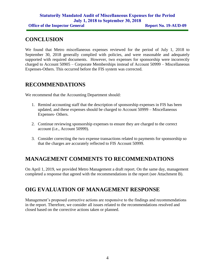## **CONCLUSION**

We found that Metro miscellaneous expenses reviewed for the period of July 1, 2018 to September 30, 2018 generally complied with policies, and were reasonable and adequately supported with required documents. However, two expenses for sponsorship were incorrectly charged to Account 50905 – Corporate Memberships instead of Account 50999 – Miscellaneous Expenses-Others. This occurred before the FIS system was corrected.

## **RECOMMENDATIONS**

We recommend that the Accounting Department should:

- 1. Remind accounting staff that the description of sponsorship expenses in FIS has been updated, and these expenses should be charged to Account 50999 – Miscellaneous Expenses- Others.
- 2. Continue reviewing sponsorship expenses to ensure they are charged to the correct account (i.e., Account 50999).
- 3. Consider correcting the two expense transactions related to payments for sponsorship so that the charges are accurately reflected to FIS Account 50999.

# **MANAGEMENT COMMENTS TO RECOMMENDATIONS**

On April 1, 2019, we provided Metro Management a draft report. On the same day, management completed a response that agreed with the recommendations in the report (see Attachment B).

# **OIG EVALUATION OF MANAGEMENT RESPONSE**

Management's proposed corrective actions are responsive to the findings and recommendations in the report. Therefore, we consider all issues related to the recommendations resolved and closed based on the corrective actions taken or planned.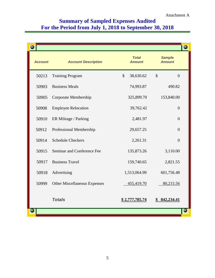# **Summary of Sampled Expenses Audited For the Period from July 1, 2018 to September 30, 2018**

|                |                                     |                               | Θ                              |
|----------------|-------------------------------------|-------------------------------|--------------------------------|
| <b>Account</b> | <b>Account Description</b>          | <b>Total</b><br><b>Amount</b> | <b>Sample</b><br><b>Amount</b> |
| 50213          | <b>Training Program</b>             | \$<br>38,630.62               | $\mathcal{S}$<br>$\theta$      |
| 50903          | <b>Business Meals</b>               | 74,993.87                     | 490.82                         |
| 50905          | Corporate Membership                | 325,899.70                    | 153,840.00                     |
| 50908          | <b>Employee Relocation</b>          | 39,762.42                     | $\overline{0}$                 |
| 50910          | ER Mileage / Parking                | 2,481.97                      | $\theta$                       |
| 50912          | Professional Membership             | 29,657.25                     | $\overline{0}$                 |
| 50914          | <b>Schedule Checkers</b>            | 2,261.31                      | $\overline{0}$                 |
| 50915          | Seminar and Conference Fee          | 135,873.26                    | 3,110.00                       |
| 50917          | <b>Business Travel</b>              | 159,740.65                    | 2,821.55                       |
| 50918          | Advertising                         | 1,513,064.99                  | 601,756.48                     |
| 50999          | <b>Other Miscellaneous Expenses</b> | 455,419.70                    | 80,215.56                      |
|                | <b>Totals</b>                       | \$2,777,785.74                | 842,234.41                     |
|                |                                     |                               |                                |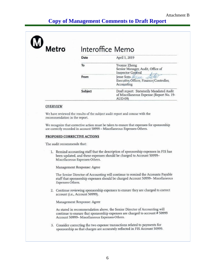# **Copy of Management Comments to Draft Report**

| <b>Aetro</b> |         | Interoffice Memo                                                                                |
|--------------|---------|-------------------------------------------------------------------------------------------------|
|              | Date    | April 1, 2019                                                                                   |
|              | To      | Yvonne Zheng<br>Senior Manager, Audit, Office of<br>Inspector General                           |
|              | From    | Jesse Soto <i>Fine</i><br>Executive Officer, Finance/Controller,<br>Accounting                  |
|              | Subject | Draft report: Statutorily Mandated Audit<br>of Miscellaneous Expense (Report No. 19-<br>AUD-09) |

#### **OVERVIEW**

We have reviewed the results of the subject audit report and concur with the recommendation in the report.

We recognize that corrective action must be taken to ensure that expenses for sponsorship are correctly recorded in account 50999 - Miscellaneous Expenses-Others.

#### PROPOSED CORRECTIVE ACTIONS

The audit recommends that:

1. Remind accounting staff that the description of sponsorship expenses in FIS has been updated, and these expenses should be charged to Account 50999-Miscellaneous Expenses-Others.

Management Response: Agree

The Senior Director of Accounting will continue to remind the Accounts Payable staff that sponsorship expenses should be charged Account 50999- Miscellaneous Expenses-Others.

2. Continue reviewing sponsorship expenses to ensure they are charged to correct account (i.e., Account 50999).

Management Response: Agree

As stated in recommendation above, the Senior Director of Accounting will continue to ensure that sponsorship expenses are charged to account # 50999 Account 50999- Miscellaneous Expenses-Others.

3. Consider correcting the two expense transactions related to payments for sponsorship so that charges are accurately reflected in FIS Account 50999.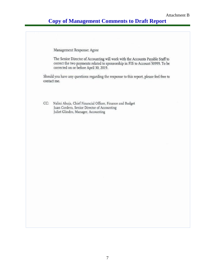## **Copy of Management Comments to Draft Report**

Management Response: Agree

The Senior Director of Accounting will work with the Accounts Payable Staff to correct the two payments related to sponsorship in FIS to Account 50999. To be corrected on or before April 30, 2019.

Should you have any questions regarding the response to this report, please feel free to contact me.

Nalini Ahuja, Chief Financial Officer, Finance and Budget  $CC:$ Juan Cordero, Senior Director of Accounting Juliet Glindro, Manager, Accounting